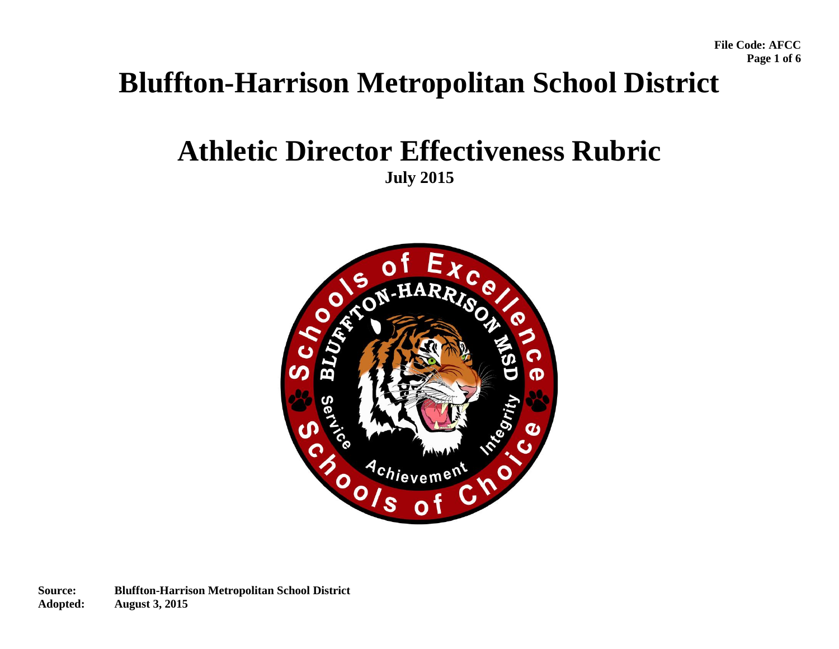# **Bluffton-Harrison Metropolitan School District**

## **Athletic Director Effectiveness Rubric July 2015**

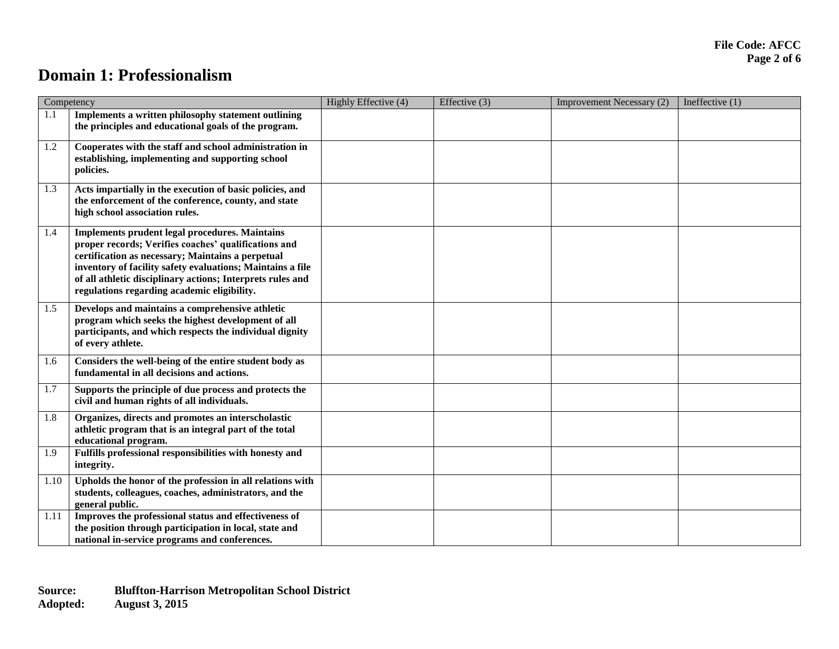### **Domain 1: Professionalism**

| Competency |                                                                                                                                                                                                                                                                                                                                        | Highly Effective (4) | Effective (3) | Improvement Necessary (2) | Ineffective $(1)$ |
|------------|----------------------------------------------------------------------------------------------------------------------------------------------------------------------------------------------------------------------------------------------------------------------------------------------------------------------------------------|----------------------|---------------|---------------------------|-------------------|
| 1.1        | Implements a written philosophy statement outlining<br>the principles and educational goals of the program.                                                                                                                                                                                                                            |                      |               |                           |                   |
| 1.2        | Cooperates with the staff and school administration in<br>establishing, implementing and supporting school<br>policies.                                                                                                                                                                                                                |                      |               |                           |                   |
| 1.3        | Acts impartially in the execution of basic policies, and<br>the enforcement of the conference, county, and state<br>high school association rules.                                                                                                                                                                                     |                      |               |                           |                   |
| 1.4        | Implements prudent legal procedures. Maintains<br>proper records; Verifies coaches' qualifications and<br>certification as necessary; Maintains a perpetual<br>inventory of facility safety evaluations; Maintains a file<br>of all athletic disciplinary actions; Interprets rules and<br>regulations regarding academic eligibility. |                      |               |                           |                   |
| 1.5        | Develops and maintains a comprehensive athletic<br>program which seeks the highest development of all<br>participants, and which respects the individual dignity<br>of every athlete.                                                                                                                                                  |                      |               |                           |                   |
| 1.6        | Considers the well-being of the entire student body as<br>fundamental in all decisions and actions.                                                                                                                                                                                                                                    |                      |               |                           |                   |
| 1.7        | Supports the principle of due process and protects the<br>civil and human rights of all individuals.                                                                                                                                                                                                                                   |                      |               |                           |                   |
| 1.8        | Organizes, directs and promotes an interscholastic<br>athletic program that is an integral part of the total<br>educational program.                                                                                                                                                                                                   |                      |               |                           |                   |
| 1.9        | Fulfills professional responsibilities with honesty and<br>integrity.                                                                                                                                                                                                                                                                  |                      |               |                           |                   |
| 1.10       | Upholds the honor of the profession in all relations with<br>students, colleagues, coaches, administrators, and the<br>general public.                                                                                                                                                                                                 |                      |               |                           |                   |
| 1.11       | Improves the professional status and effectiveness of<br>the position through participation in local, state and<br>national in-service programs and conferences.                                                                                                                                                                       |                      |               |                           |                   |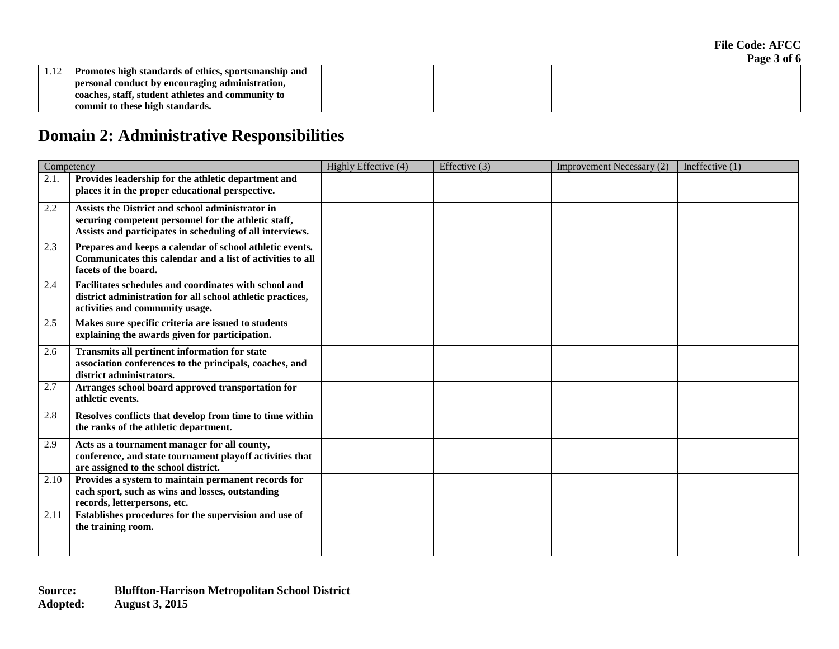| Promotes high standards of ethics, sportsmanship and |  |  |
|------------------------------------------------------|--|--|
| personal conduct by encouraging administration,      |  |  |
| coaches, staff, student athletes and community to    |  |  |
| commit to these high standards.                      |  |  |

## **Domain 2: Administrative Responsibilities**

| Competency |                                                                                                                                                                       | Highly Effective (4) | Effective $(3)$ | <b>Improvement Necessary (2)</b> | Ineffective $(1)$ |
|------------|-----------------------------------------------------------------------------------------------------------------------------------------------------------------------|----------------------|-----------------|----------------------------------|-------------------|
| 2.1.       | Provides leadership for the athletic department and<br>places it in the proper educational perspective.                                                               |                      |                 |                                  |                   |
| 2.2        | Assists the District and school administrator in<br>securing competent personnel for the athletic staff,<br>Assists and participates in scheduling of all interviews. |                      |                 |                                  |                   |
| 2.3        | Prepares and keeps a calendar of school athletic events.<br>Communicates this calendar and a list of activities to all<br>facets of the board.                        |                      |                 |                                  |                   |
| 2.4        | Facilitates schedules and coordinates with school and<br>district administration for all school athletic practices,<br>activities and community usage.                |                      |                 |                                  |                   |
| 2.5        | Makes sure specific criteria are issued to students<br>explaining the awards given for participation.                                                                 |                      |                 |                                  |                   |
| 2.6        | <b>Transmits all pertinent information for state</b><br>association conferences to the principals, coaches, and<br>district administrators.                           |                      |                 |                                  |                   |
| 2.7        | Arranges school board approved transportation for<br>athletic events.                                                                                                 |                      |                 |                                  |                   |
| 2.8        | Resolves conflicts that develop from time to time within<br>the ranks of the athletic department.                                                                     |                      |                 |                                  |                   |
| 2.9        | Acts as a tournament manager for all county,<br>conference, and state tournament playoff activities that<br>are assigned to the school district.                      |                      |                 |                                  |                   |
| 2.10       | Provides a system to maintain permanent records for<br>each sport, such as wins and losses, outstanding<br>records, letterpersons, etc.                               |                      |                 |                                  |                   |
| 2.11       | Establishes procedures for the supervision and use of<br>the training room.                                                                                           |                      |                 |                                  |                   |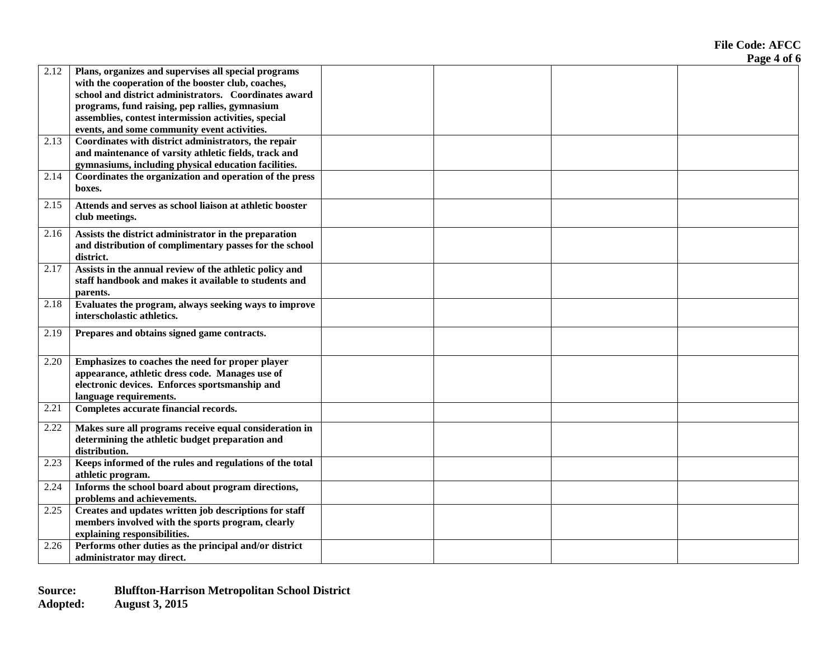**File Code: AFCC Page 4 of 6**

| 2.12 | Plans, organizes and supervises all special programs<br>with the cooperation of the booster club, coaches, |  |  |
|------|------------------------------------------------------------------------------------------------------------|--|--|
|      | school and district administrators. Coordinates award                                                      |  |  |
|      | programs, fund raising, pep rallies, gymnasium                                                             |  |  |
|      | assemblies, contest intermission activities, special                                                       |  |  |
|      | events, and some community event activities.                                                               |  |  |
| 2.13 | Coordinates with district administrators, the repair                                                       |  |  |
|      | and maintenance of varsity athletic fields, track and                                                      |  |  |
|      | gymnasiums, including physical education facilities.                                                       |  |  |
| 2.14 | Coordinates the organization and operation of the press                                                    |  |  |
|      | boxes.                                                                                                     |  |  |
| 2.15 | Attends and serves as school liaison at athletic booster                                                   |  |  |
|      | club meetings.                                                                                             |  |  |
| 2.16 | Assists the district administrator in the preparation                                                      |  |  |
|      | and distribution of complimentary passes for the school                                                    |  |  |
|      | district.                                                                                                  |  |  |
| 2.17 | Assists in the annual review of the athletic policy and                                                    |  |  |
|      | staff handbook and makes it available to students and                                                      |  |  |
|      | parents.                                                                                                   |  |  |
| 2.18 | Evaluates the program, always seeking ways to improve                                                      |  |  |
|      | interscholastic athletics.                                                                                 |  |  |
| 2.19 | Prepares and obtains signed game contracts.                                                                |  |  |
|      |                                                                                                            |  |  |
| 2.20 | Emphasizes to coaches the need for proper player                                                           |  |  |
|      | appearance, athletic dress code. Manages use of                                                            |  |  |
|      | electronic devices. Enforces sportsmanship and                                                             |  |  |
|      | language requirements.                                                                                     |  |  |
| 2.21 | Completes accurate financial records.                                                                      |  |  |
| 2.22 | Makes sure all programs receive equal consideration in                                                     |  |  |
|      | determining the athletic budget preparation and                                                            |  |  |
| 2.23 | distribution.<br>Keeps informed of the rules and regulations of the total                                  |  |  |
|      |                                                                                                            |  |  |
| 2.24 | athletic program.<br>Informs the school board about program directions,                                    |  |  |
|      | problems and achievements.                                                                                 |  |  |
| 2.25 | Creates and updates written job descriptions for staff                                                     |  |  |
|      | members involved with the sports program, clearly                                                          |  |  |
|      | explaining responsibilities.                                                                               |  |  |
| 2.26 | Performs other duties as the principal and/or district                                                     |  |  |
|      | administrator may direct.                                                                                  |  |  |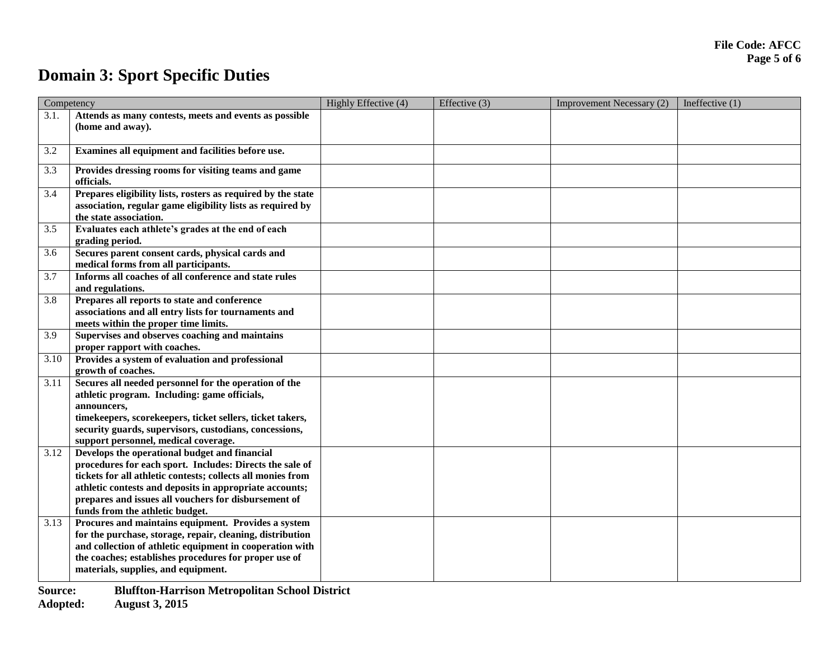## **Domain 3: Sport Specific Duties**

| Competency |                                                                                                | Highly Effective (4) | Effective (3) | <b>Improvement Necessary (2)</b> | Ineffective $(1)$ |
|------------|------------------------------------------------------------------------------------------------|----------------------|---------------|----------------------------------|-------------------|
| 3.1.       | Attends as many contests, meets and events as possible                                         |                      |               |                                  |                   |
|            | (home and away).                                                                               |                      |               |                                  |                   |
| 3.2        | Examines all equipment and facilities before use.                                              |                      |               |                                  |                   |
| 3.3        | Provides dressing rooms for visiting teams and game                                            |                      |               |                                  |                   |
|            | officials.                                                                                     |                      |               |                                  |                   |
| 3.4        | Prepares eligibility lists, rosters as required by the state                                   |                      |               |                                  |                   |
|            | association, regular game eligibility lists as required by                                     |                      |               |                                  |                   |
| 3.5        | the state association.<br>Evaluates each athlete's grades at the end of each                   |                      |               |                                  |                   |
|            | grading period.                                                                                |                      |               |                                  |                   |
| 3.6        | Secures parent consent cards, physical cards and                                               |                      |               |                                  |                   |
|            | medical forms from all participants.                                                           |                      |               |                                  |                   |
| 3.7        | Informs all coaches of all conference and state rules                                          |                      |               |                                  |                   |
|            | and regulations.                                                                               |                      |               |                                  |                   |
| 3.8        | Prepares all reports to state and conference                                                   |                      |               |                                  |                   |
|            | associations and all entry lists for tournaments and                                           |                      |               |                                  |                   |
|            | meets within the proper time limits.                                                           |                      |               |                                  |                   |
| 3.9        | Supervises and observes coaching and maintains                                                 |                      |               |                                  |                   |
|            | proper rapport with coaches.                                                                   |                      |               |                                  |                   |
| 3.10       | Provides a system of evaluation and professional                                               |                      |               |                                  |                   |
|            | growth of coaches.                                                                             |                      |               |                                  |                   |
| 3.11       | Secures all needed personnel for the operation of the                                          |                      |               |                                  |                   |
|            | athletic program. Including: game officials,                                                   |                      |               |                                  |                   |
|            | announcers,                                                                                    |                      |               |                                  |                   |
|            | timekeepers, scorekeepers, ticket sellers, ticket takers,                                      |                      |               |                                  |                   |
|            | security guards, supervisors, custodians, concessions,<br>support personnel, medical coverage. |                      |               |                                  |                   |
| 3.12       | Develops the operational budget and financial                                                  |                      |               |                                  |                   |
|            | procedures for each sport. Includes: Directs the sale of                                       |                      |               |                                  |                   |
|            | tickets for all athletic contests; collects all monies from                                    |                      |               |                                  |                   |
|            | athletic contests and deposits in appropriate accounts;                                        |                      |               |                                  |                   |
|            | prepares and issues all vouchers for disbursement of                                           |                      |               |                                  |                   |
|            | funds from the athletic budget.                                                                |                      |               |                                  |                   |
| 3.13       | Procures and maintains equipment. Provides a system                                            |                      |               |                                  |                   |
|            | for the purchase, storage, repair, cleaning, distribution                                      |                      |               |                                  |                   |
|            | and collection of athletic equipment in cooperation with                                       |                      |               |                                  |                   |
|            | the coaches; establishes procedures for proper use of                                          |                      |               |                                  |                   |
|            | materials, supplies, and equipment.                                                            |                      |               |                                  |                   |
|            |                                                                                                |                      |               |                                  |                   |

**Source: Bluffton-Harrison Metropolitan School District**

**Adopted: August 3, 2015**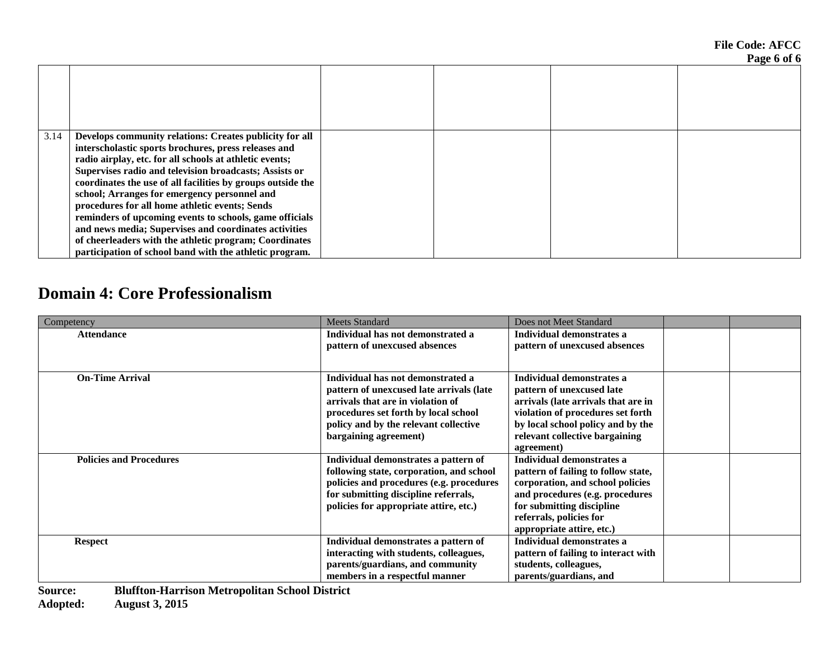**File Code: AFCC Page 6 of 6**

|      |                                                             |  | $\sim$ |
|------|-------------------------------------------------------------|--|--------|
|      |                                                             |  |        |
| 3.14 | Develops community relations: Creates publicity for all     |  |        |
|      | interscholastic sports brochures, press releases and        |  |        |
|      | radio airplay, etc. for all schools at athletic events;     |  |        |
|      | Supervises radio and television broadcasts; Assists or      |  |        |
|      | coordinates the use of all facilities by groups outside the |  |        |
|      | school; Arranges for emergency personnel and                |  |        |
|      | procedures for all home athletic events; Sends              |  |        |
|      | reminders of upcoming events to schools, game officials     |  |        |
|      | and news media; Supervises and coordinates activities       |  |        |
|      | of cheerleaders with the athletic program; Coordinates      |  |        |
|      | participation of school band with the athletic program.     |  |        |

### **Domain 4: Core Professionalism**

| Competency                                                             | <b>Meets Standard</b>                    | Does not Meet Standard              |  |
|------------------------------------------------------------------------|------------------------------------------|-------------------------------------|--|
| <b>Attendance</b>                                                      | Individual has not demonstrated a        | Individual demonstrates a           |  |
|                                                                        | pattern of unexcused absences            | pattern of unexcused absences       |  |
|                                                                        |                                          |                                     |  |
| <b>On-Time Arrival</b>                                                 | Individual has not demonstrated a        | Individual demonstrates a           |  |
|                                                                        | pattern of unexcused late arrivals (late | pattern of unexcused late           |  |
|                                                                        | arrivals that are in violation of        | arrivals (late arrivals that are in |  |
|                                                                        | procedures set forth by local school     | violation of procedures set forth   |  |
|                                                                        | policy and by the relevant collective    | by local school policy and by the   |  |
|                                                                        | bargaining agreement)                    | relevant collective bargaining      |  |
|                                                                        |                                          | agreement)                          |  |
| <b>Policies and Procedures</b>                                         | Individual demonstrates a pattern of     | Individual demonstrates a           |  |
|                                                                        | following state, corporation, and school | pattern of failing to follow state, |  |
|                                                                        | policies and procedures (e.g. procedures | corporation, and school policies    |  |
|                                                                        | for submitting discipline referrals,     | and procedures (e.g. procedures     |  |
|                                                                        | policies for appropriate attire, etc.)   | for submitting discipline           |  |
|                                                                        |                                          | referrals, policies for             |  |
|                                                                        |                                          | appropriate attire, etc.)           |  |
| <b>Respect</b>                                                         | Individual demonstrates a pattern of     | Individual demonstrates a           |  |
|                                                                        | interacting with students, colleagues,   | pattern of failing to interact with |  |
|                                                                        | parents/guardians, and community         | students, colleagues,               |  |
|                                                                        | members in a respectful manner           | parents/guardians, and              |  |
| $\mathbf{C}$ order of<br>Dhiffton Homison Motuonalitan Cahaal District |                                          |                                     |  |

**Source: Bluffton-Harrison Metropolitan School District**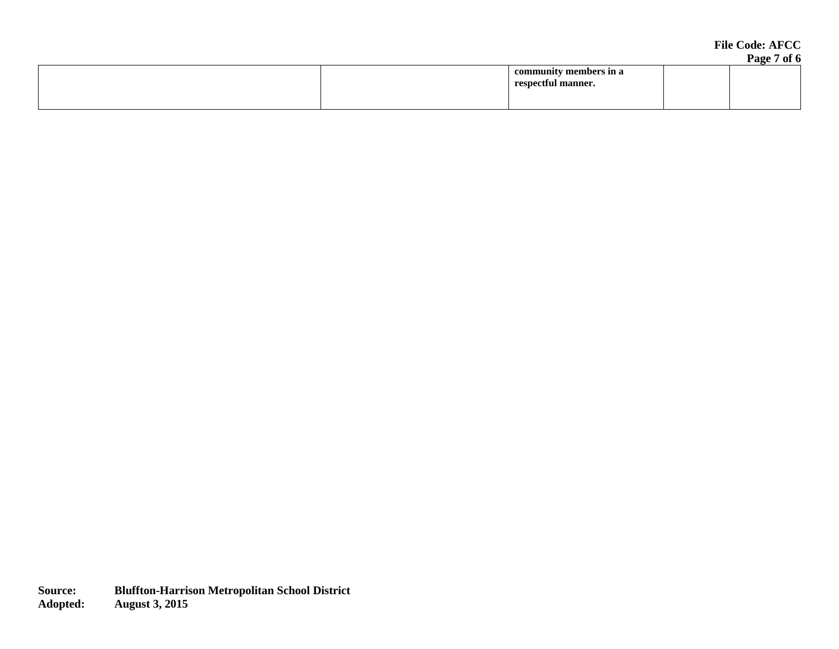#### **File Code: AFCC Page 7 of 6**

| community members in a |  |
|------------------------|--|
|                        |  |
| respectful manner.     |  |
|                        |  |
|                        |  |
|                        |  |
|                        |  |
|                        |  |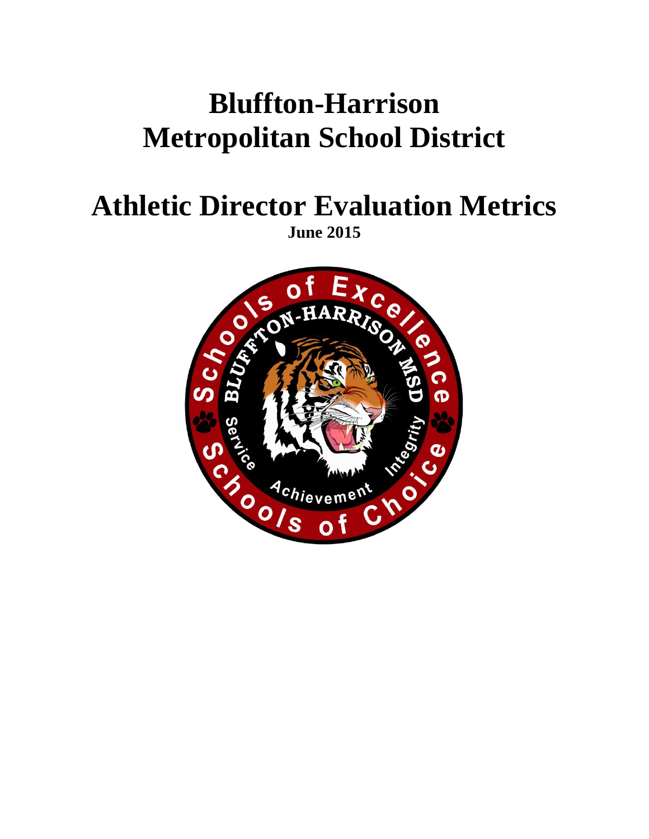# **Bluffton-Harrison Metropolitan School District**

## **Athletic Director Evaluation Metrics June 2015**